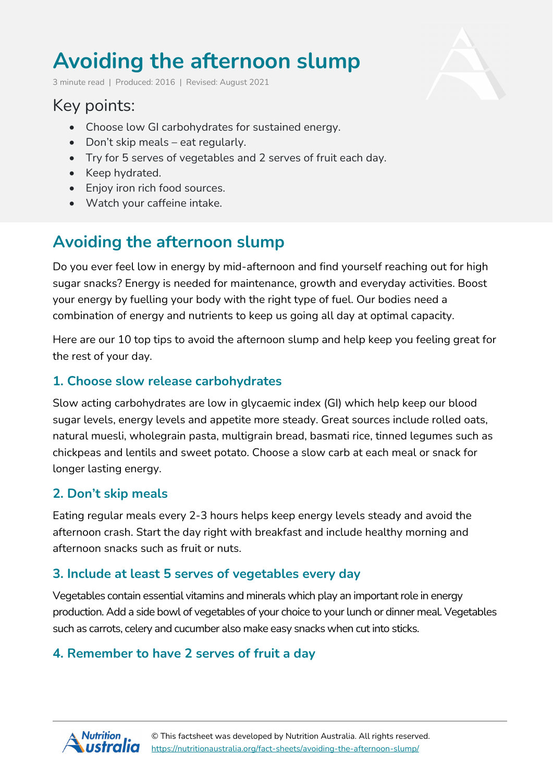# **Avoiding the afternoon slump**

3 minute read | Produced: 2016 | Revised: August 2021

# Key points:

- Choose low GI carbohydrates for sustained energy.
- Don't skip meals eat regularly.
- Try for 5 serves of vegetables and 2 serves of fruit each day.
- Keep hydrated.
- Enjoy iron rich food sources.
- Watch your caffeine intake.

# **Avoiding the afternoon slump**

Do you ever feel low in energy by mid-afternoon and find yourself reaching out for high sugar snacks? Energy is needed for maintenance, growth and everyday activities. Boost your energy by fuelling your body with the right type of fuel. Our bodies need a combination of energy and nutrients to keep us going all day at optimal capacity.

Here are our 10 top tips to avoid the afternoon slump and help keep you feeling great for the rest of your day.

### **1. Choose slow release carbohydrates**

Slow acting carbohydrates are low in glycaemic index (GI) which help keep our blood sugar levels, energy levels and appetite more steady. Great sources include rolled oats, natural muesli, wholegrain pasta, multigrain bread, basmati rice, tinned legumes such as chickpeas and lentils and sweet potato. Choose a slow carb at each meal or snack for longer lasting energy.

### **2. Don't skip meals**

Eating regular meals every 2-3 hours helps keep energy levels steady and avoid the afternoon crash. Start the day right with breakfast and include healthy morning and afternoon snacks such as fruit or nuts.

# **3. Include at least 5 serves of vegetables every day**

Vegetables contain essential vitamins and minerals which play an important role in energy production. Add a side bowl of vegetables of your choice to your lunch or dinner meal. Vegetables such as carrots, celery and cucumber also make easy snacks when cut into sticks.

# **4. Remember to have 2 serves of fruit a day**